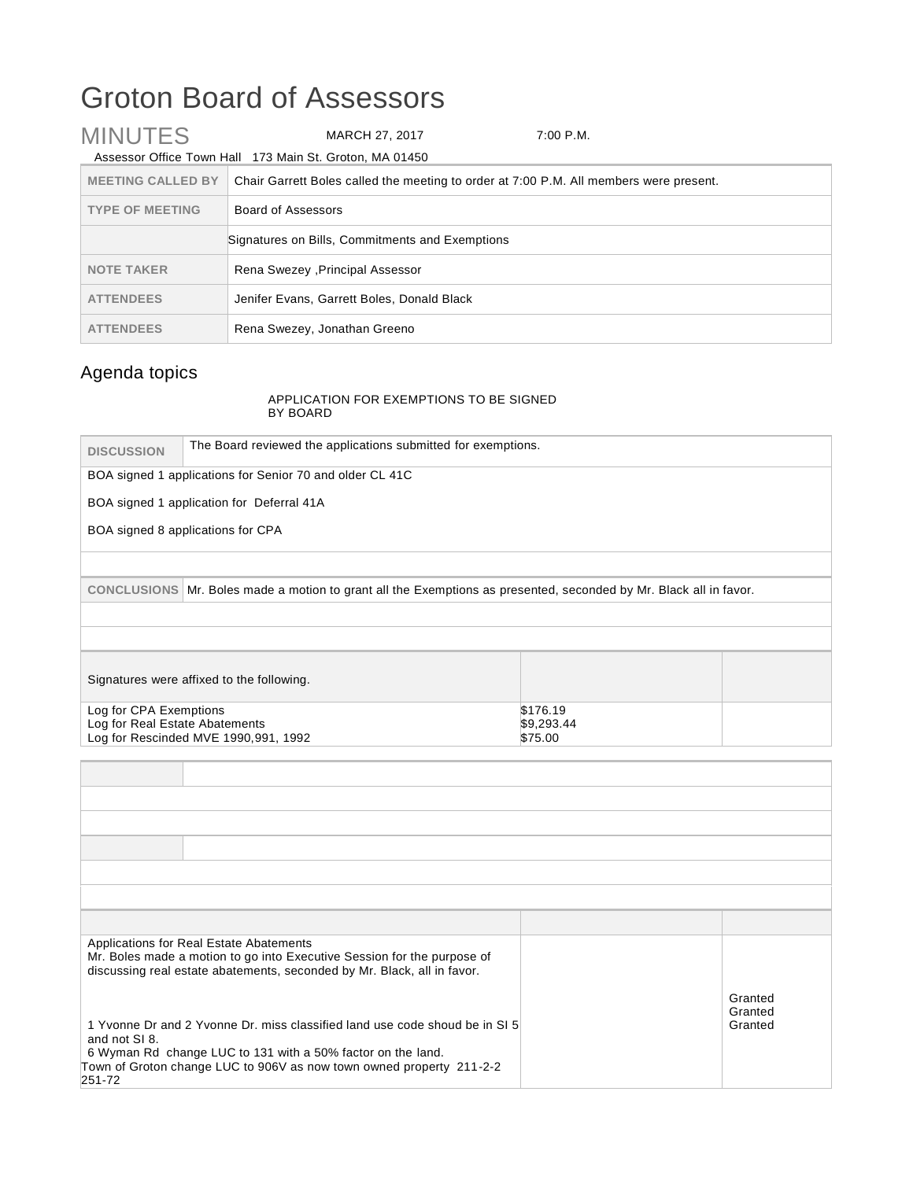## Groton Board of Assessors

| <b>MINUTES</b>                                  | MARCH 27, 2017                                                                         | 7:00 P.M. |
|-------------------------------------------------|----------------------------------------------------------------------------------------|-----------|
|                                                 | Assessor Office Town Hall 173 Main St. Groton, MA 01450                                |           |
| <b>MEETING CALLED BY</b>                        | Chair Garrett Boles called the meeting to order at 7:00 P.M. All members were present. |           |
| <b>TYPE OF MEETING</b>                          | Board of Assessors                                                                     |           |
| Signatures on Bills, Commitments and Exemptions |                                                                                        |           |
| <b>NOTE TAKER</b>                               | Rena Swezey , Principal Assessor                                                       |           |
| <b>ATTENDEES</b>                                | Jenifer Evans, Garrett Boles, Donald Black                                             |           |
| <b>ATTENDEES</b>                                | Rena Swezey, Jonathan Greeno                                                           |           |

## Agenda topics

## APPLICATION FOR EXEMPTIONS TO BE SIGNED BY BOARD

| <b>DISCUSSION</b>                                        | The Board reviewed the applications submitted for exemptions.                                                                                                                                                      |                                   |                               |
|----------------------------------------------------------|--------------------------------------------------------------------------------------------------------------------------------------------------------------------------------------------------------------------|-----------------------------------|-------------------------------|
|                                                          | BOA signed 1 applications for Senior 70 and older CL 41C                                                                                                                                                           |                                   |                               |
|                                                          | BOA signed 1 application for Deferral 41A                                                                                                                                                                          |                                   |                               |
|                                                          | BOA signed 8 applications for CPA                                                                                                                                                                                  |                                   |                               |
|                                                          |                                                                                                                                                                                                                    |                                   |                               |
|                                                          | CONCLUSIONS Mr. Boles made a motion to grant all the Exemptions as presented, seconded by Mr. Black all in favor.                                                                                                  |                                   |                               |
|                                                          |                                                                                                                                                                                                                    |                                   |                               |
|                                                          |                                                                                                                                                                                                                    |                                   |                               |
|                                                          | Signatures were affixed to the following.                                                                                                                                                                          |                                   |                               |
| Log for CPA Exemptions<br>Log for Real Estate Abatements | Log for Rescinded MVE 1990,991, 1992                                                                                                                                                                               | \$176.19<br>\$9,293.44<br>\$75.00 |                               |
|                                                          |                                                                                                                                                                                                                    |                                   |                               |
|                                                          |                                                                                                                                                                                                                    |                                   |                               |
|                                                          |                                                                                                                                                                                                                    |                                   |                               |
|                                                          |                                                                                                                                                                                                                    |                                   |                               |
|                                                          |                                                                                                                                                                                                                    |                                   |                               |
|                                                          |                                                                                                                                                                                                                    |                                   |                               |
|                                                          |                                                                                                                                                                                                                    |                                   |                               |
|                                                          | Applications for Real Estate Abatements<br>Mr. Boles made a motion to go into Executive Session for the purpose of<br>discussing real estate abatements, seconded by Mr. Black, all in favor.                      |                                   |                               |
| and not SI 8.<br>251-72                                  | 1 Yvonne Dr and 2 Yvonne Dr. miss classified land use code shoud be in SI 5<br>6 Wyman Rd change LUC to 131 with a 50% factor on the land.<br>Town of Groton change LUC to 906V as now town owned property 211-2-2 |                                   | Granted<br>Granted<br>Granted |